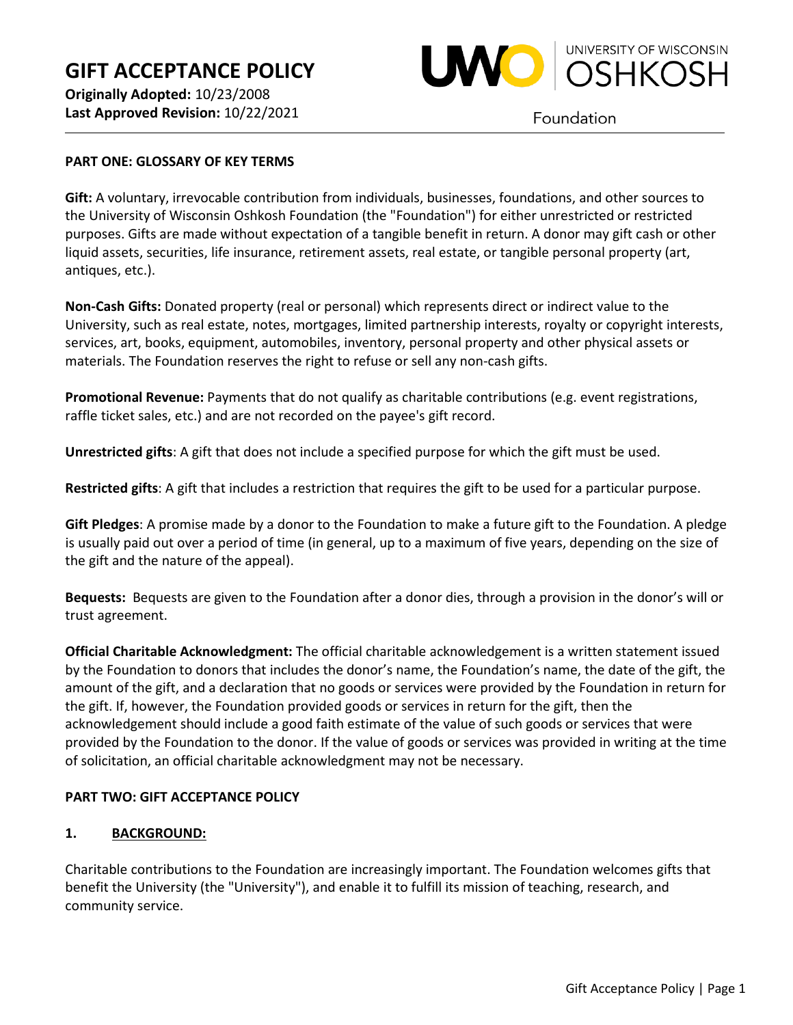

Foundation

### **PART ONE: GLOSSARY OF KEY TERMS**

**Gift:** A voluntary, irrevocable contribution from individuals, businesses, foundations, and other sources to the University of Wisconsin Oshkosh Foundation (the "Foundation") for either unrestricted or restricted purposes. Gifts are made without expectation of a tangible benefit in return. A donor may gift cash or other liquid assets, securities, life insurance, retirement assets, real estate, or tangible personal property (art, antiques, etc.).

**Non-Cash Gifts:** Donated property (real or personal) which represents direct or indirect value to the University, such as real estate, notes, mortgages, limited partnership interests, royalty or copyright interests, services, art, books, equipment, automobiles, inventory, personal property and other physical assets or materials. The Foundation reserves the right to refuse or sell any non-cash gifts.

**Promotional Revenue:** Payments that do not qualify as charitable contributions (e.g. event registrations, raffle ticket sales, etc.) and are not recorded on the payee's gift record.

**Unrestricted gifts**: A gift that does not include a specified purpose for which the gift must be used.

**Restricted gifts**: A gift that includes a restriction that requires the gift to be used for a particular purpose.

**Gift Pledges**: A promise made by a donor to the Foundation to make a future gift to the Foundation. A pledge is usually paid out over a period of time (in general, up to a maximum of five years, depending on the size of the gift and the nature of the appeal).

**Bequests:** Bequests are given to the Foundation after a donor dies, through a provision in the donor's will or trust agreement.

**Official Charitable Acknowledgment:** The official charitable acknowledgement is a written statement issued by the Foundation to donors that includes the donor's name, the Foundation's name, the date of the gift, the amount of the gift, and a declaration that no goods or services were provided by the Foundation in return for the gift. If, however, the Foundation provided goods or services in return for the gift, then the acknowledgement should include a good faith estimate of the value of such goods or services that were provided by the Foundation to the donor. If the value of goods or services was provided in writing at the time of solicitation, an official charitable acknowledgment may not be necessary.

### **PART TWO: GIFT ACCEPTANCE POLICY**

### **1. BACKGROUND:**

Charitable contributions to the Foundation are increasingly important. The Foundation welcomes gifts that benefit the University (the "University"), and enable it to fulfill its mission of teaching, research, and community service.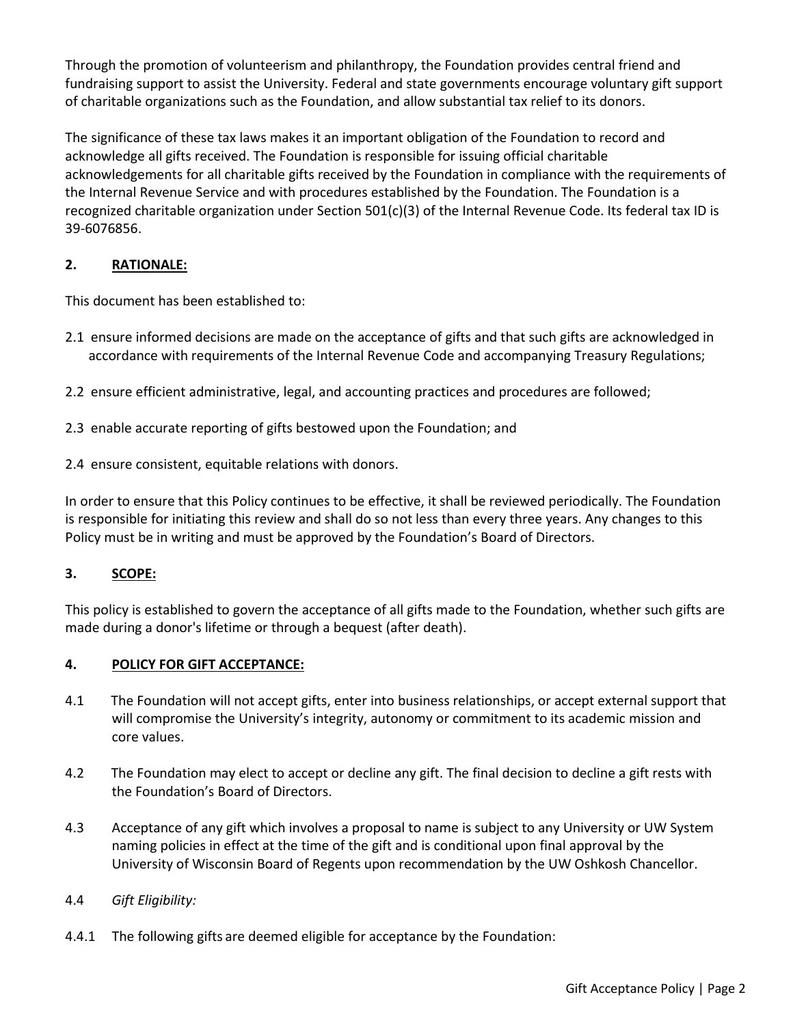Through the promotion of volunteerism and philanthropy, the Foundation provides central friend and fundraising support to assist the University. Federal and state governments encourage voluntary gift support of charitable organizations such as the Foundation, and allow substantial tax relief to its donors.

The significance of these tax laws makes it an important obligation of the Foundation to record and acknowledge all gifts received. The Foundation is responsible for issuing official charitable acknowledgements for all charitable gifts received by the Foundation in compliance with the requirements of the Internal Revenue Service and with procedures established by the Foundation. The Foundation is a recognized charitable organization under Section 501(c)(3) of the Internal Revenue Code. Its federal tax ID is 39-6076856.

# **2. RATIONALE:**

This document has been established to:

- 2.1 ensure informed decisions are made on the acceptance of gifts and that such gifts are acknowledged in accordance with requirements of the Internal Revenue Code and accompanying Treasury Regulations;
- 2.2 ensure efficient administrative, legal, and accounting practices and procedures are followed;
- 2.3 enable accurate reporting of gifts bestowed upon the Foundation; and
- 2.4 ensure consistent, equitable relations with donors.

In order to ensure that this Policy continues to be effective, it shall be reviewed periodically. The Foundation is responsible for initiating this review and shall do so not less than every three years. Any changes to this Policy must be in writing and must be approved by the Foundation's Board of Directors.

# **3. SCOPE:**

This policy is established to govern the acceptance of all gifts made to the Foundation, whether such gifts are made during a donor's lifetime or through a bequest (after death).

# **4. POLICY FOR GIFT ACCEPTANCE:**

- 4.1 The Foundation will not accept gifts, enter into business relationships, or accept external support that will compromise the University's integrity, autonomy or commitment to its academic mission and core values.
- 4.2 The Foundation may elect to accept or decline any gift. The final decision to decline a gift rests with the Foundation's Board of Directors.
- 4.3 Acceptance of any gift which involves a proposal to name is subject to any University or UW System naming policies in effect at the time of the gift and is conditional upon final approval by the University of Wisconsin Board of Regents upon recommendation by the UW Oshkosh Chancellor.
- 4.4 *Gift Eligibility:*
- 4.4.1 The following gifts are deemed eligible for acceptance by the Foundation: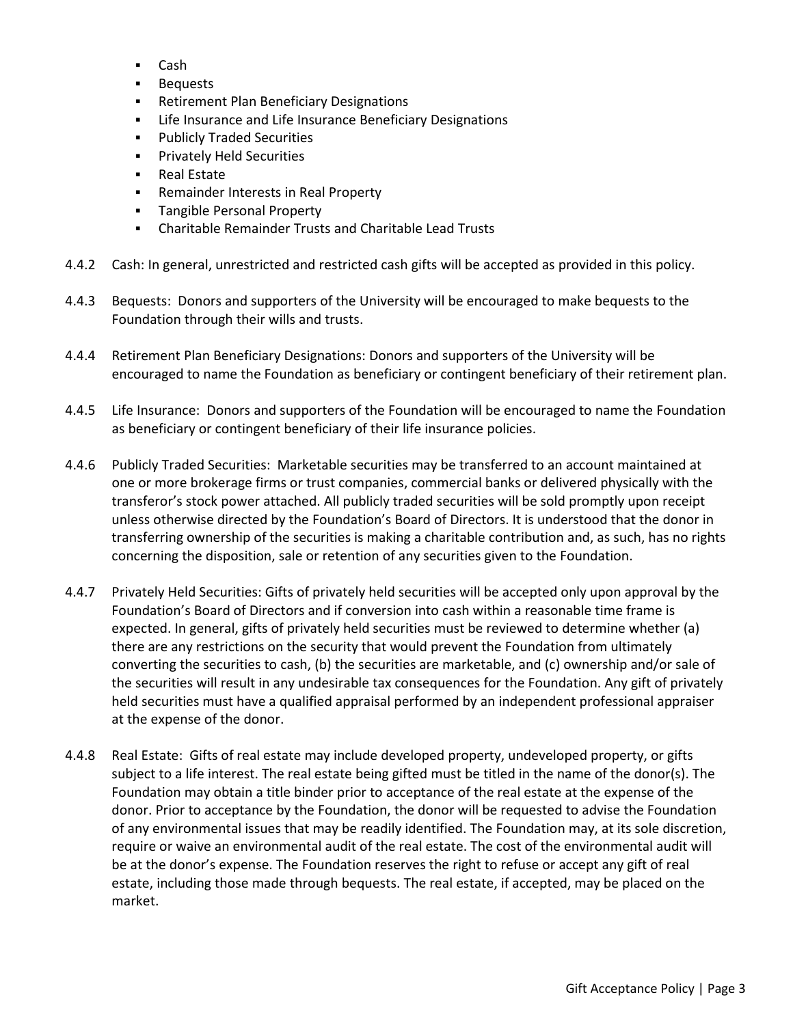- Cash
- Bequests
- Retirement Plan Beneficiary Designations
- **EXECT** Life Insurance and Life Insurance Beneficiary Designations
- **Publicly Traded Securities**
- **Privately Held Securities**
- **Real Estate**
- **Remainder Interests in Real Property**
- **Tangible Personal Property**
- Charitable Remainder Trusts and Charitable Lead Trusts
- 4.4.2 Cash: In general, unrestricted and restricted cash gifts will be accepted as provided in this policy.
- 4.4.3 Bequests: Donors and supporters of the University will be encouraged to make bequests to the Foundation through their wills and trusts.
- 4.4.4 Retirement Plan Beneficiary Designations: Donors and supporters of the University will be encouraged to name the Foundation as beneficiary or contingent beneficiary of their retirement plan.
- 4.4.5 Life Insurance: Donors and supporters of the Foundation will be encouraged to name the Foundation as beneficiary or contingent beneficiary of their life insurance policies.
- 4.4.6 Publicly Traded Securities: Marketable securities may be transferred to an account maintained at one or more brokerage firms or trust companies, commercial banks or delivered physically with the transferor's stock power attached. All publicly traded securities will be sold promptly upon receipt unless otherwise directed by the Foundation's Board of Directors. It is understood that the donor in transferring ownership of the securities is making a charitable contribution and, as such, has no rights concerning the disposition, sale or retention of any securities given to the Foundation.
- 4.4.7 Privately Held Securities: Gifts of privately held securities will be accepted only upon approval by the Foundation's Board of Directors and if conversion into cash within a reasonable time frame is expected. In general, gifts of privately held securities must be reviewed to determine whether (a) there are any restrictions on the security that would prevent the Foundation from ultimately converting the securities to cash, (b) the securities are marketable, and (c) ownership and/or sale of the securities will result in any undesirable tax consequences for the Foundation. Any gift of privately held securities must have a qualified appraisal performed by an independent professional appraiser at the expense of the donor.
- 4.4.8 Real Estate: Gifts of real estate may include developed property, undeveloped property, or gifts subject to a life interest. The real estate being gifted must be titled in the name of the donor(s). The Foundation may obtain a title binder prior to acceptance of the real estate at the expense of the donor. Prior to acceptance by the Foundation, the donor will be requested to advise the Foundation of any environmental issues that may be readily identified. The Foundation may, at its sole discretion, require or waive an environmental audit of the real estate. The cost of the environmental audit will be at the donor's expense. The Foundation reserves the right to refuse or accept any gift of real estate, including those made through bequests. The real estate, if accepted, may be placed on the market.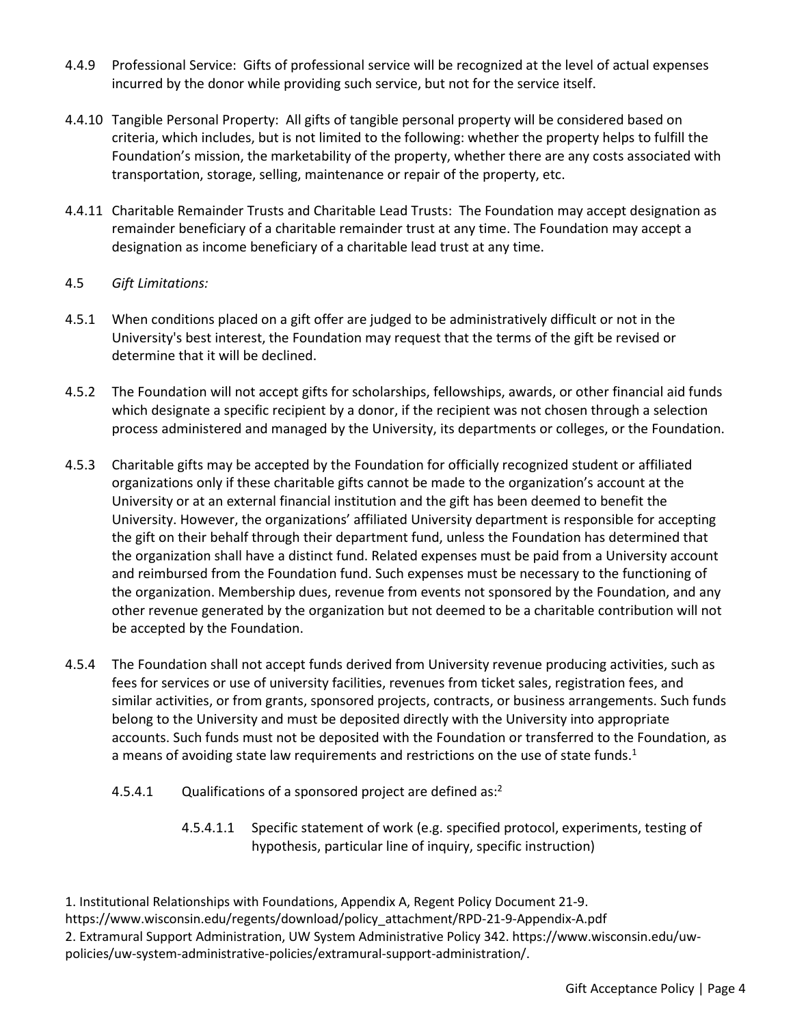- 4.4.9 Professional Service: Gifts of professional service will be recognized at the level of actual expenses incurred by the donor while providing such service, but not for the service itself.
- 4.4.10 Tangible Personal Property: All gifts of tangible personal property will be considered based on criteria, which includes, but is not limited to the following: whether the property helps to fulfill the Foundation's mission, the marketability of the property, whether there are any costs associated with transportation, storage, selling, maintenance or repair of the property, etc.
- 4.4.11 Charitable Remainder Trusts and Charitable Lead Trusts: The Foundation may accept designation as remainder beneficiary of a charitable remainder trust at any time. The Foundation may accept a designation as income beneficiary of a charitable lead trust at any time.

## 4.5 *Gift Limitations:*

- 4.5.1 When conditions placed on a gift offer are judged to be administratively difficult or not in the University's best interest, the Foundation may request that the terms of the gift be revised or determine that it will be declined.
- 4.5.2 The Foundation will not accept gifts for scholarships, fellowships, awards, or other financial aid funds which designate a specific recipient by a donor, if the recipient was not chosen through a selection process administered and managed by the University, its departments or colleges, or the Foundation.
- 4.5.3 Charitable gifts may be accepted by the Foundation for officially recognized student or affiliated organizations only if these charitable gifts cannot be made to the organization's account at the University or at an external financial institution and the gift has been deemed to benefit the University. However, the organizations' affiliated University department is responsible for accepting the gift on their behalf through their department fund, unless the Foundation has determined that the organization shall have a distinct fund. Related expenses must be paid from a University account and reimbursed from the Foundation fund. Such expenses must be necessary to the functioning of the organization. Membership dues, revenue from events not sponsored by the Foundation, and any other revenue generated by the organization but not deemed to be a charitable contribution will not be accepted by the Foundation.
- 4.5.4 The Foundation shall not accept funds derived from University revenue producing activities, such as fees for services or use of university facilities, revenues from ticket sales, registration fees, and similar activities, or from grants, sponsored projects, contracts, or business arrangements. Such funds belong to the University and must be deposited directly with the University into appropriate accounts. Such funds must not be deposited with the Foundation or transferred to the Foundation, as a means of avoiding state law requirements and restrictions on the use of state funds.<sup>1</sup>
	- 4.5.4.1 Qualifications of a sponsored project are defined as:<sup>2</sup>
		- 4.5.4.1.1 Specific statement of work (e.g. specified protocol, experiments, testing of hypothesis, particular line of inquiry, specific instruction)

1. Institutional Relationships with Foundations, Appendix A, Regent Policy Document 21-9. https://www.wisconsin.edu/regents/download/policy\_attachment/RPD-21-9-Appendix-A.pdf 2. Extramural Support Administration, UW System Administrative Policy 342. https://www.wisconsin.edu/uwpolicies/uw-system-administrative-policies/extramural-support-administration/.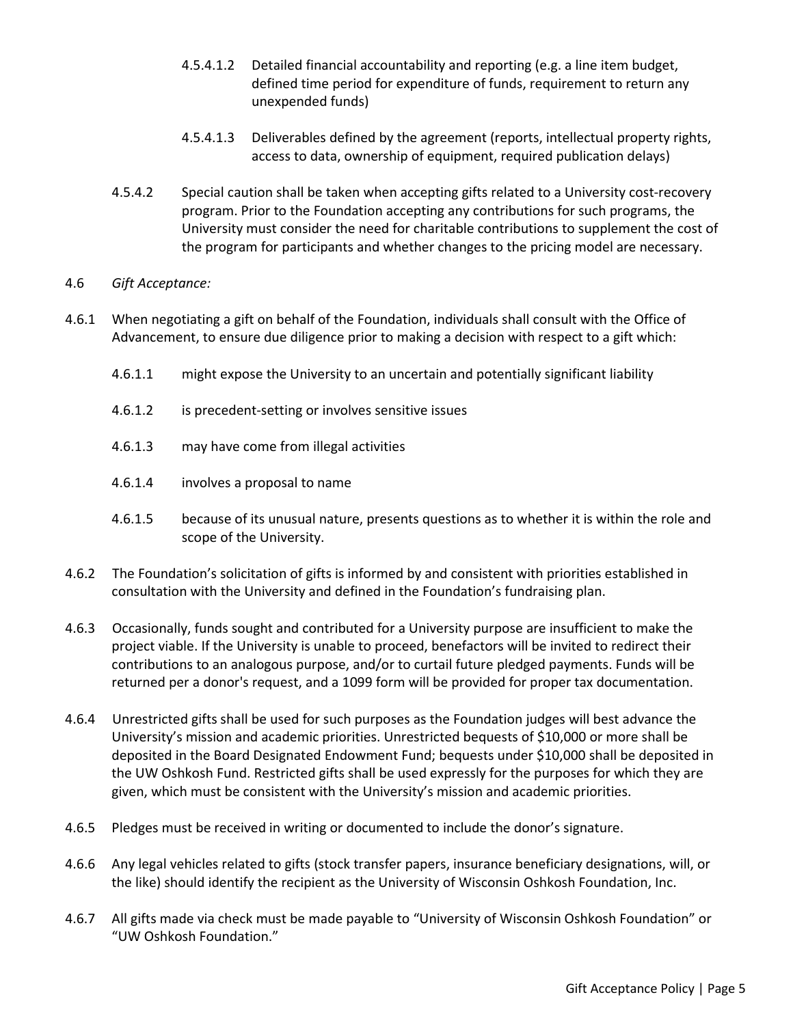- 4.5.4.1.2 Detailed financial accountability and reporting (e.g. a line item budget, defined time period for expenditure of funds, requirement to return any unexpended funds)
- 4.5.4.1.3 Deliverables defined by the agreement (reports, intellectual property rights, access to data, ownership of equipment, required publication delays)
- 4.5.4.2 Special caution shall be taken when accepting gifts related to a University cost-recovery program. Prior to the Foundation accepting any contributions for such programs, the University must consider the need for charitable contributions to supplement the cost of the program for participants and whether changes to the pricing model are necessary.

## 4.6 *Gift Acceptance:*

- 4.6.1 When negotiating a gift on behalf of the Foundation, individuals shall consult with the Office of Advancement, to ensure due diligence prior to making a decision with respect to a gift which:
	- 4.6.1.1 might expose the University to an uncertain and potentially significant liability
	- 4.6.1.2 is precedent-setting or involves sensitive issues
	- 4.6.1.3 may have come from illegal activities
	- 4.6.1.4 involves a proposal to name
	- 4.6.1.5 because of its unusual nature, presents questions as to whether it is within the role and scope of the University.
- 4.6.2 The Foundation's solicitation of gifts is informed by and consistent with priorities established in consultation with the University and defined in the Foundation's fundraising plan.
- 4.6.3 Occasionally, funds sought and contributed for a University purpose are insufficient to make the project viable. If the University is unable to proceed, benefactors will be invited to redirect their contributions to an analogous purpose, and/or to curtail future pledged payments. Funds will be returned per a donor's request, and a 1099 form will be provided for proper tax documentation.
- 4.6.4 Unrestricted gifts shall be used for such purposes as the Foundation judges will best advance the University's mission and academic priorities. Unrestricted bequests of \$10,000 or more shall be deposited in the Board Designated Endowment Fund; bequests under \$10,000 shall be deposited in the UW Oshkosh Fund. Restricted gifts shall be used expressly for the purposes for which they are given, which must be consistent with the University's mission and academic priorities.
- 4.6.5 Pledges must be received in writing or documented to include the donor's signature.
- 4.6.6 Any legal vehicles related to gifts (stock transfer papers, insurance beneficiary designations, will, or the like) should identify the recipient as the University of Wisconsin Oshkosh Foundation, Inc.
- 4.6.7 All gifts made via check must be made payable to "University of Wisconsin Oshkosh Foundation" or "UW Oshkosh Foundation."